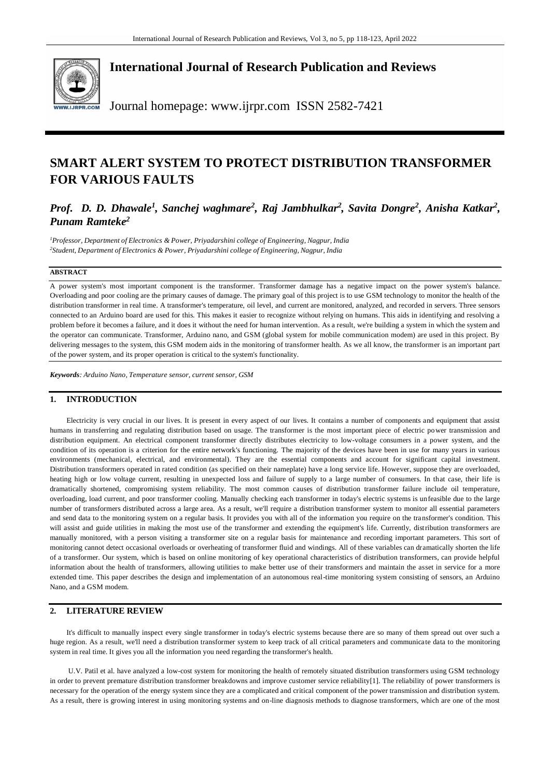

**International Journal of Research Publication and Reviews**

Journal homepage: www.ijrpr.com ISSN 2582-7421

# **SMART ALERT SYSTEM TO PROTECT DISTRIBUTION TRANSFORMER FOR VARIOUS FAULTS**

Prof. D. D. Dhawale<sup>1</sup>, Sanchej waghmare<sup>2</sup>, Raj Jambhulkar<sup>2</sup>, Savita Dongre<sup>2</sup>, Anisha Katkar<sup>2</sup>, *Punam Ramteke<sup>2</sup>*

*<sup>1</sup>Professor, Department of Electronics & Power, Priyadarshini college of Engineering, Nagpur, India 2 Student, Department of Electronics & Power, Priyadarshini college of Engineering, Nagpur, India*

#### **ABSTRACT**

A power system's most important component is the transformer. Transformer damage has a negative impact on the power system's balance. Overloading and poor cooling are the primary causes of damage. The primary goal of this project is to use GSM technology to monitor the health of the distribution transformer in real time. A transformer's temperature, oil level, and current are monitored, analyzed, and recorded in servers. Three sensors connected to an Arduino board are used for this. This makes it easier to recognize without relying on humans. This aids in identifying and resolving a problem before it becomes a failure, and it does it without the need for human intervention. As a result, we're building a system in which the system and the operator can communicate. Transformer, Arduino nano, and GSM (global system for mobile communication modem) are used in this project. By delivering messages to the system, this GSM modem aids in the monitoring of transformer health. As we all know, the transformer is an important part of the power system, and its proper operation is critical to the system's functionality.

*Keywords: Arduino Nano, Temperature sensor, current sensor, GSM*

## **1. INTRODUCTION**

Electricity is very crucial in our lives. It is present in every aspect of our lives. It contains a number of components and equipment that assist humans in transferring and regulating distribution based on usage. The transformer is the most important piece of electric power transmission and distribution equipment. An electrical component transformer directly distributes electricity to low-voltage consumers in a power system, and the condition of its operation is a criterion for the entire network's functioning. The majority of the devices have been in use for many years in various environments (mechanical, electrical, and environmental). They are the essential components and account for significant capital investment. Distribution transformers operated in rated condition (as specified on their nameplate) have a long service life. However, suppose they are overloaded, heating high or low voltage current, resulting in unexpected loss and failure of supply to a large number of consumers. In that case, their life is dramatically shortened, compromising system reliability. The most common causes of distribution transformer failure include oil temperature, overloading, load current, and poor transformer cooling. Manually checking each transformer in today's electric systems is unfeasible due to the large number of transformers distributed across a large area. As a result, we'll require a distribution transformer system to monitor all essential parameters and send data to the monitoring system on a regular basis. It provides you with all of the information you require on the transformer's condition. This will assist and guide utilities in making the most use of the transformer and extending the equipment's life. Currently, distribution transformers are manually monitored, with a person visiting a transformer site on a regular basis for maintenance and recording important parameters. This sort of monitoring cannot detect occasional overloads or overheating of transformer fluid and windings. All of these variables can dramatically shorten the life of a transformer. Our system, which is based on online monitoring of key operational characteristics of distribution transformers, can provide helpful information about the health of transformers, allowing utilities to make better use of their transformers and maintain the asset in service for a more extended time. This paper describes the design and implementation of an autonomous real-time monitoring system consisting of sensors, an Arduino Nano, and a GSM modem.

## **2. LITERATURE REVIEW**

It's difficult to manually inspect every single transformer in today's electric systems because there are so many of them spread out over such a huge region. As a result, we'll need a distribution transformer system to keep track of all critical parameters and communicate data to the monitoring system in real time. It gives you all the information you need regarding the transformer's health.

U.V. Patil et al. have analyzed a low-cost system for monitoring the health of remotely situated distribution transformers using GSM technology in order to prevent premature distribution transformer breakdowns and improve customer service reliability[1]. The reliability of power transformers is necessary for the operation of the energy system since they are a complicated and critical component of the power transmission and distribution system. As a result, there is growing interest in using monitoring systems and on-line diagnosis methods to diagnose transformers, which are one of the most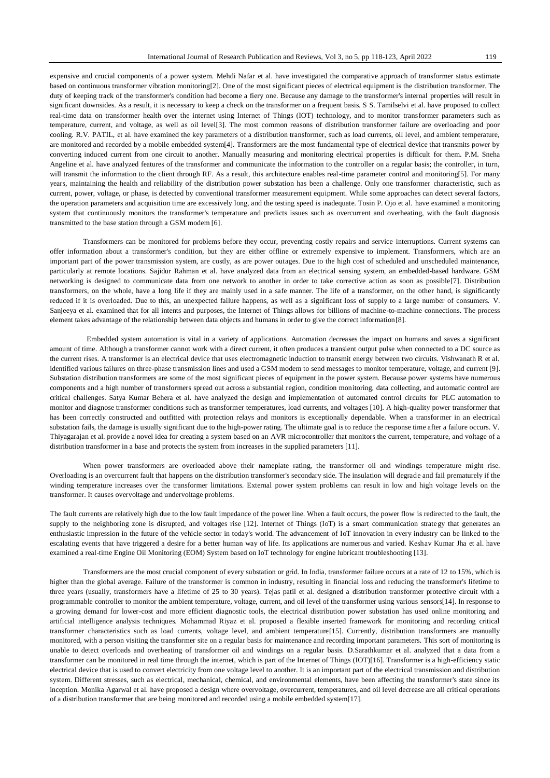expensive and crucial components of a power system. Mehdi Nafar et al. have investigated the comparative approach of transformer status estimate based on continuous transformer vibration monitoring[2]. One of the most significant pieces of electrical equipment is the distribution transformer. The duty of keeping track of the transformer's condition had become a fiery one. Because any damage to the transformer's internal properties will result in significant downsides. As a result, it is necessary to keep a check on the transformer on a frequent basis. S S. Tamilselvi et al. have proposed to collect real-time data on transformer health over the internet using Internet of Things (IOT) technology, and to monitor transformer parameters such as temperature, current, and voltage, as well as oil level[3]. The most common reasons of distribution transformer failure are overloading and poor cooling. R.V. PATIL, et al. have examined the key parameters of a distribution transformer, such as load currents, oil level, and ambient temperature, are monitored and recorded by a mobile embedded system[4]. Transformers are the most fundamental type of electrical device that transmits power by converting induced current from one circuit to another. Manually measuring and monitoring electrical properties is difficult for them. P.M. Sneha Angeline et al. have analyzed features of the transformer and communicate the information to the controller on a regular basis; the controller, in turn, will transmit the information to the client through RF. As a result, this architecture enables real-time parameter control and monitoring[5]. For many years, maintaining the health and reliability of the distribution power substation has been a challenge. Only one transformer characteristic, such as current, power, voltage, or phase, is detected by conventional transformer measurement equipment. While some approaches can detect several factors, the operation parameters and acquisition time are excessively long, and the testing speed is inadequate. Tosin P. Ojo et al. have examined a monitoring

Transformers can be monitored for problems before they occur, preventing costly repairs and service interruptions. Current systems can offer information about a transformer's condition, but they are either offline or extremely expensive to implement. Transformers, which are an important part of the power transmission system, are costly, as are power outages. Due to the high cost of scheduled and unscheduled maintenance, particularly at remote locations. Sajidur Rahman et al. have analyzed data from an electrical sensing system, an embedded-based hardware. GSM networking is designed to communicate data from one network to another in order to take corrective action as soon as possible[7]. Distribution transformers, on the whole, have a long life if they are mainly used in a safe manner. The life of a transformer, on the other hand, is significantly reduced if it is overloaded. Due to this, an unexpected failure happens, as well as a significant loss of supply to a large number of consumers. V. Sanjeeya et al. examined that for all intents and purposes, the Internet of Things allows for billions of machine-to-machine connections. The process element takes advantage of the relationship between data objects and humans in order to give the correct information[8].

system that continuously monitors the transformer's temperature and predicts issues such as overcurrent and overheating, with the fault diagnosis

transmitted to the base station through a GSM modem [6].

 Embedded system automation is vital in a variety of applications. Automation decreases the impact on humans and saves a significant amount of time. Although a transformer cannot work with a direct current, it often produces a transient output pulse when connected to a DC source as the current rises. A transformer is an electrical device that uses electromagnetic induction to transmit energy between two circuits. Vishwanath R et al. identified various failures on three-phase transmission lines and used a GSM modem to send messages to monitor temperature, voltage, and current [9]. Substation distribution transformers are some of the most significant pieces of equipment in the power system. Because power systems have numerous components and a high number of transformers spread out across a substantial region, condition monitoring, data collecting, and automatic control are critical challenges. Satya Kumar Behera et al. have analyzed the design and implementation of automated control circuits for PLC automation to monitor and diagnose transformer conditions such as transformer temperatures, load currents, and voltages [10]. A high-quality power transformer that has been correctly constructed and outfitted with protection relays and monitors is exceptionally dependable. When a transformer in an electrical substation fails, the damage is usually significant due to the high-power rating. The ultimate goal is to reduce the response time after a failure occurs. V. Thiyagarajan et al. provide a novel idea for creating a system based on an AVR microcontroller that monitors the current, temperature, and voltage of a distribution transformer in a base and protects the system from increases in the supplied parameters [11].

When power transformers are overloaded above their nameplate rating, the transformer oil and windings temperature might rise. Overloading is an overcurrent fault that happens on the distribution transformer's secondary side. The insulation will degrade and fail prematurely if the winding temperature increases over the transformer limitations. External power system problems can result in low and high voltage levels on the transformer. It causes overvoltage and undervoltage problems.

The fault currents are relatively high due to the low fault impedance of the power line. When a fault occurs, the power flow is redirected to the fault, the supply to the neighboring zone is disrupted, and voltages rise [12]. Internet of Things (IoT) is a smart communication strategy that generates an enthusiastic impression in the future of the vehicle sector in today's world. The advancement of IoT innovation in every industry can be linked to the escalating events that have triggered a desire for a better human way of life. Its applications are numerous and varied. Keshav Kumar Jha et al. have examined a real-time Engine Oil Monitoring (EOM) System based on IoT technology for engine lubricant troubleshooting [13].

Transformers are the most crucial component of every substation or grid. In India, transformer failure occurs at a rate of 12 to 15%, which is higher than the global average. Failure of the transformer is common in industry, resulting in financial loss and reducing the transformer's lifetime to three years (usually, transformers have a lifetime of 25 to 30 years). Tejas patil et al. designed a distribution transformer protective circuit with a programmable controller to monitor the ambient temperature, voltage, current, and oil level of the transformer using various sensors[14]. In response to a growing demand for lower-cost and more efficient diagnostic tools, the electrical distribution power substation has used online monitoring and artificial intelligence analysis techniques. Mohammad Riyaz et al. proposed a flexible inserted framework for monitoring and recording critical transformer characteristics such as load currents, voltage level, and ambient temperature[15]. Currently, distribution transformers are manually monitored, with a person visiting the transformer site on a regular basis for maintenance and recording important parameters. This sort of monitoring is unable to detect overloads and overheating of transformer oil and windings on a regular basis. D.Sarathkumar et al. analyzed that a data from a transformer can be monitored in real time through the internet, which is part of the Internet of Things (IOT)[16]. Transformer is a high-efficiency static electrical device that is used to convert electricity from one voltage level to another. It is an important part of the electrical transmission and distribution system. Different stresses, such as electrical, mechanical, chemical, and environmental elements, have been affecting the transformer's state since its inception. Monika Agarwal et al. have proposed a design where overvoltage, overcurrent, temperatures, and oil level decrease are all critical operations of a distribution transformer that are being monitored and recorded using a mobile embedded system[17].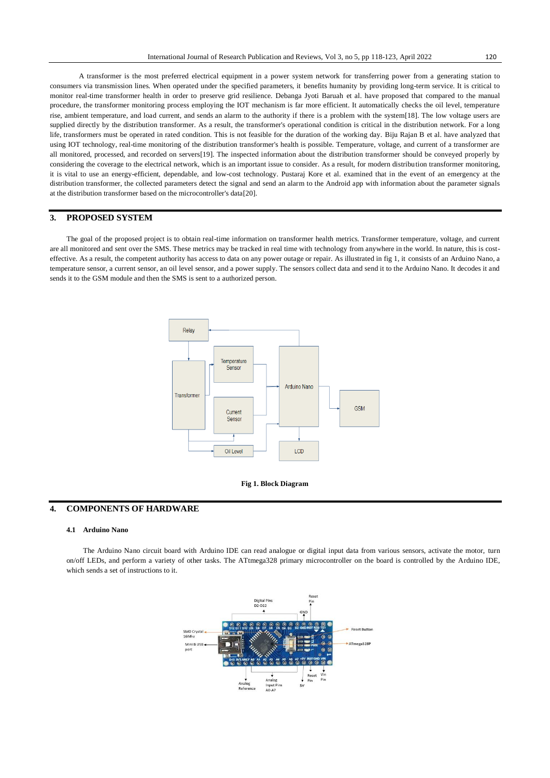A transformer is the most preferred electrical equipment in a power system network for transferring power from a generating station to consumers via transmission lines. When operated under the specified parameters, it benefits humanity by providing long-term service. It is critical to monitor real-time transformer health in order to preserve grid resilience. Debanga Jyoti Baruah et al. have proposed that compared to the manual procedure, the transformer monitoring process employing the IOT mechanism is far more efficient. It automatically checks the oil level, temperature rise, ambient temperature, and load current, and sends an alarm to the authority if there is a problem with the system[18]. The low voltage users are supplied directly by the distribution transformer. As a result, the transformer's operational condition is critical in the distribution network. For a long life, transformers must be operated in rated condition. This is not feasible for the duration of the working day. Biju Rajan B et al. have analyzed that using IOT technology, real-time monitoring of the distribution transformer's health is possible. Temperature, voltage, and current of a transformer are all monitored, processed, and recorded on servers[19]. The inspected information about the distribution transformer should be conveyed properly by considering the coverage to the electrical network, which is an important issue to consider. As a result, for modern distribution transformer monitoring, it is vital to use an energy-efficient, dependable, and low-cost technology. Pustaraj Kore et al. examined that in the event of an emergency at the distribution transformer, the collected parameters detect the signal and send an alarm to the Android app with information about the parameter signals at the distribution transformer based on the microcontroller's data[20].

## **3. PROPOSED SYSTEM**

The goal of the proposed project is to obtain real-time information on transformer health metrics. Transformer temperature, voltage, and current are all monitored and sent over the SMS. These metrics may be tracked in real time with technology from anywhere in the world. In nature, this is costeffective. As a result, the competent authority has access to data on any power outage or repair. As illustrated in fig 1, it consists of an Arduino Nano, a temperature sensor, a current sensor, an oil level sensor, and a power supply. The sensors collect data and send it to the Arduino Nano. It decodes it and sends it to the GSM module and then the SMS is sent to a authorized person.





#### **4. COMPONENTS OF HARDWARE**

#### **4.1 Arduino Nano**

The Arduino Nano circuit board with Arduino IDE can read analogue or digital input data from various sensors, activate the motor, turn on/off LEDs, and perform a variety of other tasks. The ATtmega328 primary microcontroller on the board is controlled by the Arduino IDE, which sends a set of instructions to it.

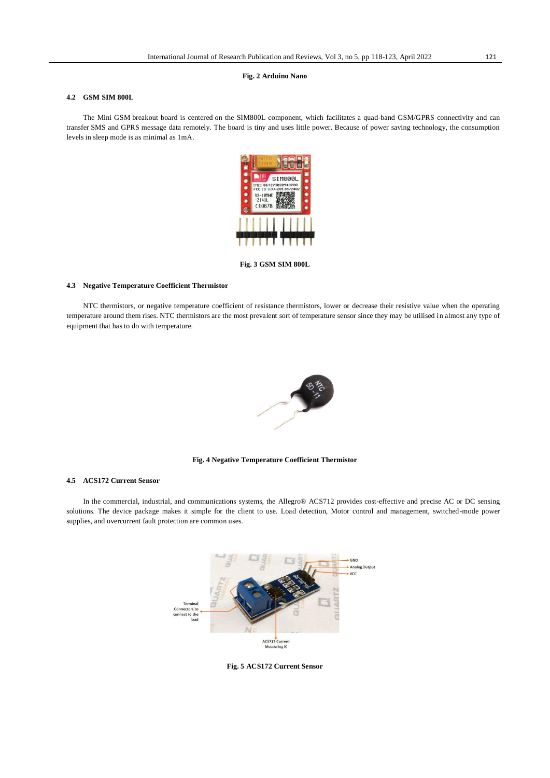## **Fig. 2 Arduino Nano**

## **4.2 GSM SIM 800L**

The Mini GSM breakout board is centered on the SIM800L component, which facilitates a quad-band GSM/GPRS connectivity and can transfer SMS and GPRS message data remotely. The board is tiny and uses little power. Because of power saving technology, the consumption levels in sleep mode is as minimal as 1mA.



**Fig. 3 GSM SIM 800L**

#### **4.3 Negative Temperature Coefficient Thermistor**

NTC thermistors, or negative temperature coefficient of resistance thermistors, lower or decrease their resistive value when the operating temperature around them rises. NTC thermistors are the most prevalent sort of temperature sensor since they may be utilised in almost any type of equipment that has to do with temperature.



#### **Fig. 4 Negative Temperature Coefficient Thermistor**

### **4.5 ACS172 Current Sensor**

In the commercial, industrial, and communications systems, the Allegro® ACS712 provides cost-effective and precise AC or DC sensing solutions. The device package makes it simple for the client to use. Load detection, Motor control and management, switched-mode power supplies, and overcurrent fault protection are common uses.



**Fig. 5 ACS172 Current Sensor**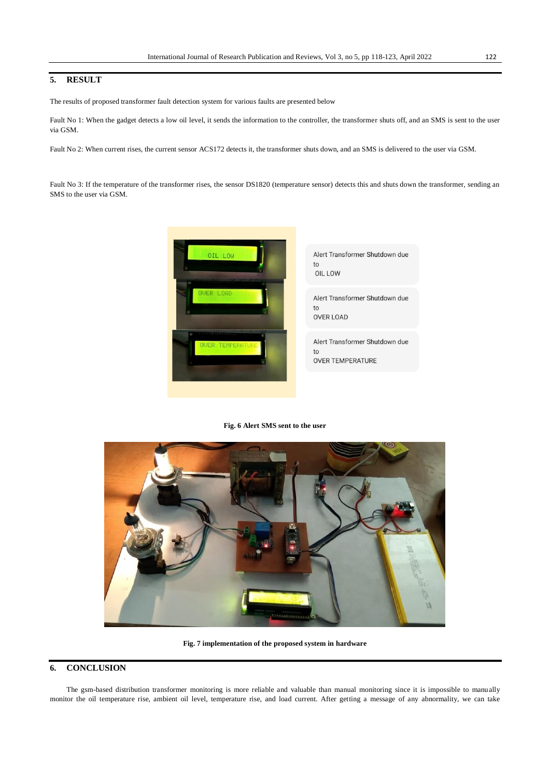# **5. RESULT**

The results of proposed transformer fault detection system for various faults are presented below

Fault No 1: When the gadget detects a low oil level, it sends the information to the controller, the transformer shuts off, and an SMS is sent to the user via GSM.

Fault No 2: When current rises, the current sensor ACS172 detects it, the transformer shuts down, and an SMS is delivered to the user via GSM.

Fault No 3: If the temperature of the transformer rises, the sensor DS1820 (temperature sensor) detects this and shuts down the transformer, sending an SMS to the user via GSM.



Alert Transformer Shutdown due to OIL LOW

Alert Transformer Shutdown due  $to$ **OVER LOAD** 

Alert Transformer Shutdown due  $to$ **OVER TEMPERATURE** 

## **Fig. 6 Alert SMS sent to the user**



**Fig. 7 implementation of the proposed system in hardware**

# **6. CONCLUSION**

The gsm-based distribution transformer monitoring is more reliable and valuable than manual monitoring since it is impossible to manually monitor the oil temperature rise, ambient oil level, temperature rise, and load current. After getting a message of any abnormality, we can take